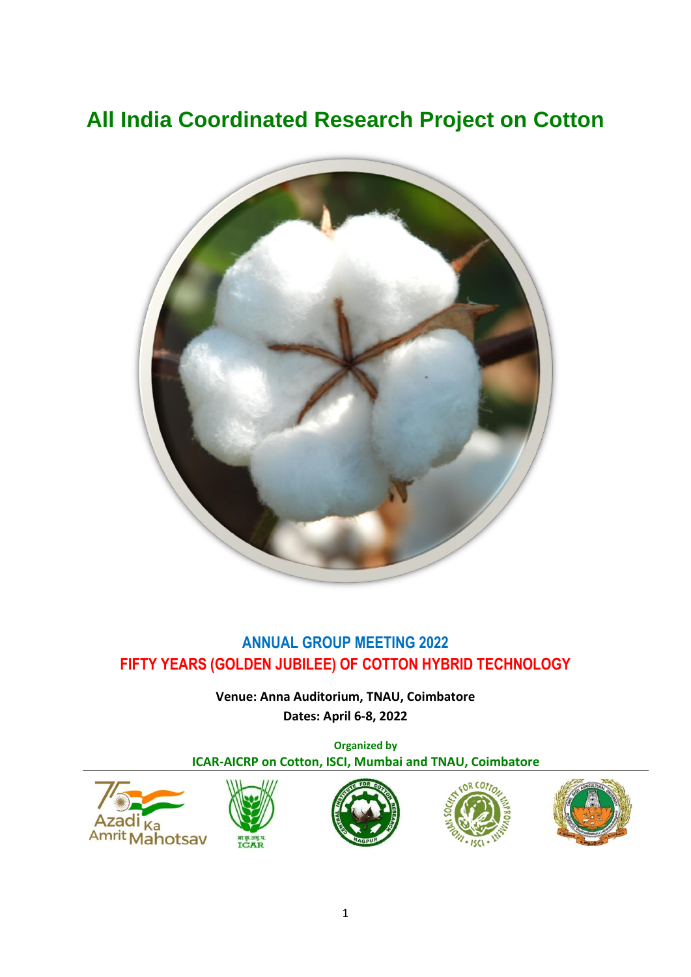# **All India Coordinated Research Project on Cotton**



# **ANNUAL GROUP MEETING 2022 FIFTY YEARS (GOLDEN JUBILEE) OF COTTON HYBRID TECHNOLOGY**

**Venue: Anna Auditorium, TNAU, Coimbatore Dates: April 6-8, 2022**

**Organized by ICAR-AICRP on Cotton, ISCI, Mumbai and TNAU, Coimbatore**

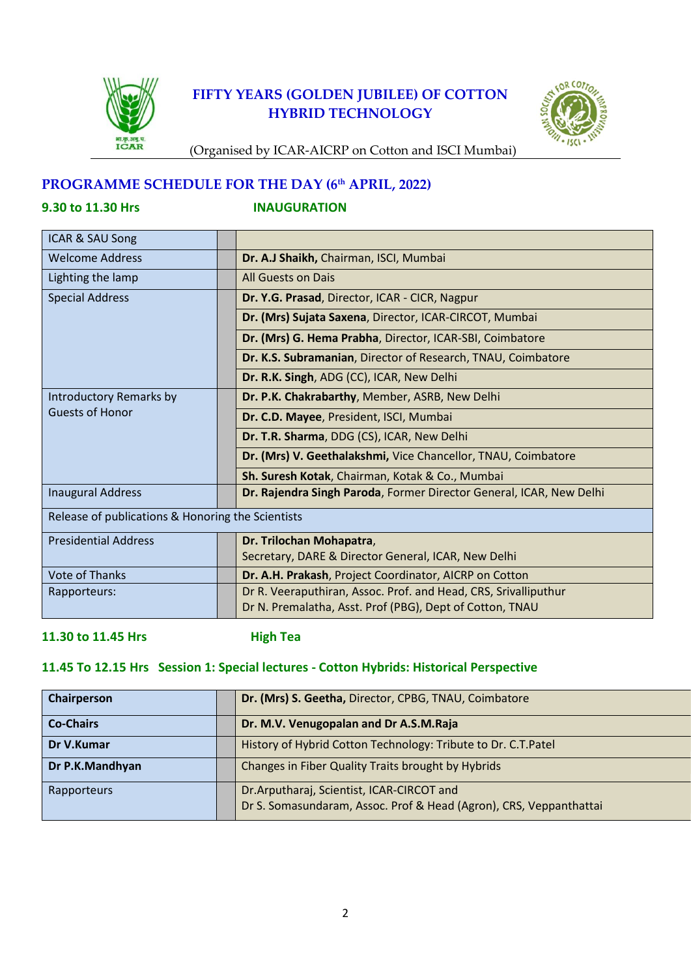

# **FIFTY YEARS (GOLDEN JUBILEE) OF COTTON HYBRID TECHNOLOGY**



(Organised by ICAR-AICRP on Cotton and ISCI Mumbai)

# **PROGRAMME SCHEDULE FOR THE DAY (6th APRIL, 2022)**

**9.30 to 11.30 Hrs INAUGURATION** 

| <b>ICAR &amp; SAU Song</b>                        |  |                                                                     |
|---------------------------------------------------|--|---------------------------------------------------------------------|
| <b>Welcome Address</b>                            |  | Dr. A.J Shaikh, Chairman, ISCI, Mumbai                              |
| Lighting the lamp                                 |  | All Guests on Dais                                                  |
| <b>Special Address</b>                            |  | Dr. Y.G. Prasad, Director, ICAR - CICR, Nagpur                      |
|                                                   |  | Dr. (Mrs) Sujata Saxena, Director, ICAR-CIRCOT, Mumbai              |
|                                                   |  | Dr. (Mrs) G. Hema Prabha, Director, ICAR-SBI, Coimbatore            |
|                                                   |  | Dr. K.S. Subramanian, Director of Research, TNAU, Coimbatore        |
|                                                   |  | Dr. R.K. Singh, ADG (CC), ICAR, New Delhi                           |
| Introductory Remarks by                           |  | Dr. P.K. Chakrabarthy, Member, ASRB, New Delhi                      |
| <b>Guests of Honor</b>                            |  | Dr. C.D. Mayee, President, ISCI, Mumbai                             |
|                                                   |  | <b>Dr. T.R. Sharma, DDG (CS), ICAR, New Delhi</b>                   |
|                                                   |  | Dr. (Mrs) V. Geethalakshmi, Vice Chancellor, TNAU, Coimbatore       |
|                                                   |  | Sh. Suresh Kotak, Chairman, Kotak & Co., Mumbai                     |
| <b>Inaugural Address</b>                          |  | Dr. Rajendra Singh Paroda, Former Director General, ICAR, New Delhi |
| Release of publications & Honoring the Scientists |  |                                                                     |
| <b>Presidential Address</b>                       |  | Dr. Trilochan Mohapatra,                                            |
|                                                   |  | Secretary, DARE & Director General, ICAR, New Delhi                 |
| <b>Vote of Thanks</b>                             |  | Dr. A.H. Prakash, Project Coordinator, AICRP on Cotton              |
| Rapporteurs:                                      |  | Dr R. Veeraputhiran, Assoc. Prof. and Head, CRS, Srivalliputhur     |
|                                                   |  | Dr N. Premalatha, Asst. Prof (PBG), Dept of Cotton, TNAU            |

# **11.30 to 11.45 Hrs High Tea**

# **11.45 To 12.15 Hrs Session 1: Special lectures - Cotton Hybrids: Historical Perspective**

| <b>Chairperson</b> | Dr. (Mrs) S. Geetha, Director, CPBG, TNAU, Coimbatore                                                           |
|--------------------|-----------------------------------------------------------------------------------------------------------------|
| <b>Co-Chairs</b>   | Dr. M.V. Venugopalan and Dr A.S.M.Raja                                                                          |
| Dr V.Kumar         | History of Hybrid Cotton Technology: Tribute to Dr. C.T.Patel                                                   |
| Dr P.K.Mandhyan    | Changes in Fiber Quality Traits brought by Hybrids                                                              |
| Rapporteurs        | Dr.Arputharaj, Scientist, ICAR-CIRCOT and<br>Dr S. Somasundaram, Assoc. Prof & Head (Agron), CRS, Veppanthattai |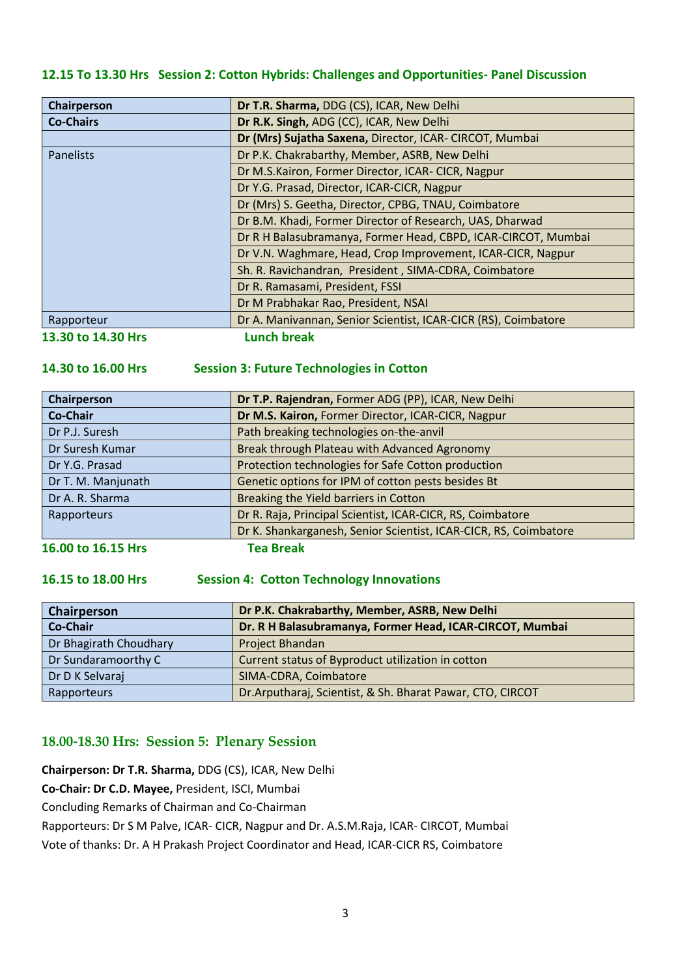# **12.15 To 13.30 Hrs Session 2: Cotton Hybrids: Challenges and Opportunities- Panel Discussion**

| Chairperson        | Dr T.R. Sharma, DDG (CS), ICAR, New Delhi                      |  |  |
|--------------------|----------------------------------------------------------------|--|--|
| <b>Co-Chairs</b>   | Dr R.K. Singh, ADG (CC), ICAR, New Delhi                       |  |  |
|                    | Dr (Mrs) Sujatha Saxena, Director, ICAR-CIRCOT, Mumbai         |  |  |
| <b>Panelists</b>   | Dr P.K. Chakrabarthy, Member, ASRB, New Delhi                  |  |  |
|                    | Dr M.S.Kairon, Former Director, ICAR- CICR, Nagpur             |  |  |
|                    | Dr Y.G. Prasad, Director, ICAR-CICR, Nagpur                    |  |  |
|                    | Dr (Mrs) S. Geetha, Director, CPBG, TNAU, Coimbatore           |  |  |
|                    | Dr B.M. Khadi, Former Director of Research, UAS, Dharwad       |  |  |
|                    | Dr R H Balasubramanya, Former Head, CBPD, ICAR-CIRCOT, Mumbai  |  |  |
|                    | Dr V.N. Waghmare, Head, Crop Improvement, ICAR-CICR, Nagpur    |  |  |
|                    | Sh. R. Ravichandran, President, SIMA-CDRA, Coimbatore          |  |  |
|                    | Dr R. Ramasami, President, FSSI                                |  |  |
|                    | Dr M Prabhakar Rao, President, NSAI                            |  |  |
| Rapporteur         | Dr A. Manivannan, Senior Scientist, ICAR-CICR (RS), Coimbatore |  |  |
| 13.30 to 14.30 Hrs | <b>Lunch break</b>                                             |  |  |

# **14.30 to 16.00 Hrs Session 3: Future Technologies in Cotton**

| Chairperson        | Dr T.P. Rajendran, Former ADG (PP), ICAR, New Delhi              |  |  |
|--------------------|------------------------------------------------------------------|--|--|
| <b>Co-Chair</b>    | Dr M.S. Kairon, Former Director, ICAR-CICR, Nagpur               |  |  |
| Dr P.J. Suresh     | Path breaking technologies on-the-anvil                          |  |  |
| Dr Suresh Kumar    | Break through Plateau with Advanced Agronomy                     |  |  |
| Dr Y.G. Prasad     | Protection technologies for Safe Cotton production               |  |  |
| Dr T. M. Manjunath | Genetic options for IPM of cotton pests besides Bt               |  |  |
| Dr A. R. Sharma    | Breaking the Yield barriers in Cotton                            |  |  |
| Rapporteurs        | Dr R. Raja, Principal Scientist, ICAR-CICR, RS, Coimbatore       |  |  |
|                    | Dr K. Shankarganesh, Senior Scientist, ICAR-CICR, RS, Coimbatore |  |  |
|                    | 77. <del>.</del> .                                               |  |  |

**16.00 to 16.15 Hrs Tea Break**

# **16.15 to 18.00 Hrs Session 4: Cotton Technology Innovations**

| Chairperson            | Dr P.K. Chakrabarthy, Member, ASRB, New Delhi             |  |  |
|------------------------|-----------------------------------------------------------|--|--|
| <b>Co-Chair</b>        | Dr. R H Balasubramanya, Former Head, ICAR-CIRCOT, Mumbai  |  |  |
| Dr Bhagirath Choudhary | Project Bhandan                                           |  |  |
| Dr Sundaramoorthy C    | Current status of Byproduct utilization in cotton         |  |  |
| Dr D K Selvaraj        | SIMA-CDRA, Coimbatore                                     |  |  |
| Rapporteurs            | Dr.Arputharaj, Scientist, & Sh. Bharat Pawar, CTO, CIRCOT |  |  |

# **18.00-18.30 Hrs: Session 5: Plenary Session**

**Chairperson: Dr T.R. Sharma,** DDG (CS), ICAR, New Delhi **Co-Chair: Dr C.D. Mayee,** President, ISCI, Mumbai Concluding Remarks of Chairman and Co-Chairman Rapporteurs: Dr S M Palve, ICAR- CICR, Nagpur and Dr. A.S.M.Raja, ICAR- CIRCOT, Mumbai Vote of thanks: Dr. A H Prakash Project Coordinator and Head, ICAR-CICR RS, Coimbatore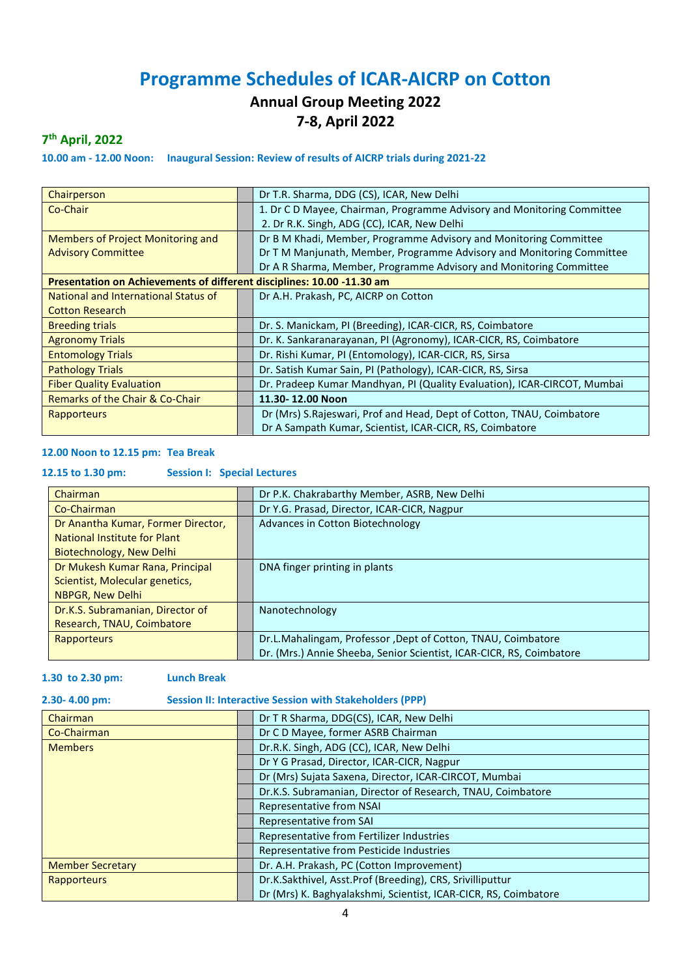# **Programme Schedules of ICAR-AICRP on Cotton**

# **Annual Group Meeting 2022 7-8, April 2022**

# **7 th April, 2022**

**10.00 am - 12.00 Noon: Inaugural Session: Review of results of AICRP trials during 2021-22**

| Chairperson                                                            | Dr T.R. Sharma, DDG (CS), ICAR, New Delhi                                |
|------------------------------------------------------------------------|--------------------------------------------------------------------------|
| Co-Chair                                                               | 1. Dr C D Mayee, Chairman, Programme Advisory and Monitoring Committee   |
|                                                                        | 2. Dr R.K. Singh, ADG (CC), ICAR, New Delhi                              |
| Members of Project Monitoring and                                      | Dr B M Khadi, Member, Programme Advisory and Monitoring Committee        |
| <b>Advisory Committee</b>                                              | Dr T M Manjunath, Member, Programme Advisory and Monitoring Committee    |
|                                                                        | Dr A R Sharma, Member, Programme Advisory and Monitoring Committee       |
| Presentation on Achievements of different disciplines: 10.00 -11.30 am |                                                                          |
| National and International Status of                                   | Dr A.H. Prakash, PC, AICRP on Cotton                                     |
| <b>Cotton Research</b>                                                 |                                                                          |
| <b>Breeding trials</b>                                                 | Dr. S. Manickam, PI (Breeding), ICAR-CICR, RS, Coimbatore                |
| <b>Agronomy Trials</b>                                                 | Dr. K. Sankaranarayanan, PI (Agronomy), ICAR-CICR, RS, Coimbatore        |
| <b>Entomology Trials</b>                                               | Dr. Rishi Kumar, PI (Entomology), ICAR-CICR, RS, Sirsa                   |
| <b>Pathology Trials</b>                                                | Dr. Satish Kumar Sain, PI (Pathology), ICAR-CICR, RS, Sirsa              |
| <b>Fiber Quality Evaluation</b>                                        | Dr. Pradeep Kumar Mandhyan, PI (Quality Evaluation), ICAR-CIRCOT, Mumbai |
| Remarks of the Chair & Co-Chair                                        | 11.30-12.00 Noon                                                         |
| Rapporteurs                                                            | Dr (Mrs) S.Rajeswari, Prof and Head, Dept of Cotton, TNAU, Coimbatore    |
|                                                                        | Dr A Sampath Kumar, Scientist, ICAR-CICR, RS, Coimbatore                 |

# **12.00 Noon to 12.15 pm: Tea Break**

### **12.15 to 1.30 pm: Session I: Special Lectures**

| Chairman                           | Dr P.K. Chakrabarthy Member, ASRB, New Delhi                         |
|------------------------------------|----------------------------------------------------------------------|
| Co-Chairman                        | Dr Y.G. Prasad, Director, ICAR-CICR, Nagpur                          |
| Dr Anantha Kumar, Former Director, | Advances in Cotton Biotechnology                                     |
| National Institute for Plant       |                                                                      |
| Biotechnology, New Delhi           |                                                                      |
| Dr Mukesh Kumar Rana, Principal    | DNA finger printing in plants                                        |
| Scientist, Molecular genetics,     |                                                                      |
| NBPGR, New Delhi                   |                                                                      |
| Dr.K.S. Subramanian, Director of   | Nanotechnology                                                       |
| Research, TNAU, Coimbatore         |                                                                      |
| <b>Rapporteurs</b>                 | Dr.L.Mahalingam, Professor, Dept of Cotton, TNAU, Coimbatore         |
|                                    | Dr. (Mrs.) Annie Sheeba, Senior Scientist, ICAR-CICR, RS, Coimbatore |

### **1.30 to 2.30 pm: Lunch Break**

### **2.30- 4.00 pm: Session II: Interactive Session with Stakeholders (PPP)**

| Chairman                | Dr T R Sharma, DDG(CS), ICAR, New Delhi                         |
|-------------------------|-----------------------------------------------------------------|
| Co-Chairman             | Dr C D Mayee, former ASRB Chairman                              |
| <b>Members</b>          | Dr.R.K. Singh, ADG (CC), ICAR, New Delhi                        |
|                         | Dr Y G Prasad, Director, ICAR-CICR, Nagpur                      |
|                         | Dr (Mrs) Sujata Saxena, Director, ICAR-CIRCOT, Mumbai           |
|                         | Dr.K.S. Subramanian, Director of Research, TNAU, Coimbatore     |
|                         | Representative from NSAI                                        |
|                         | Representative from SAI                                         |
|                         | Representative from Fertilizer Industries                       |
|                         | Representative from Pesticide Industries                        |
| <b>Member Secretary</b> | Dr. A.H. Prakash, PC (Cotton Improvement)                       |
| Rapporteurs             | Dr.K.Sakthivel, Asst.Prof (Breeding), CRS, Srivilliputtur       |
|                         | Dr (Mrs) K. Baghyalakshmi, Scientist, ICAR-CICR, RS, Coimbatore |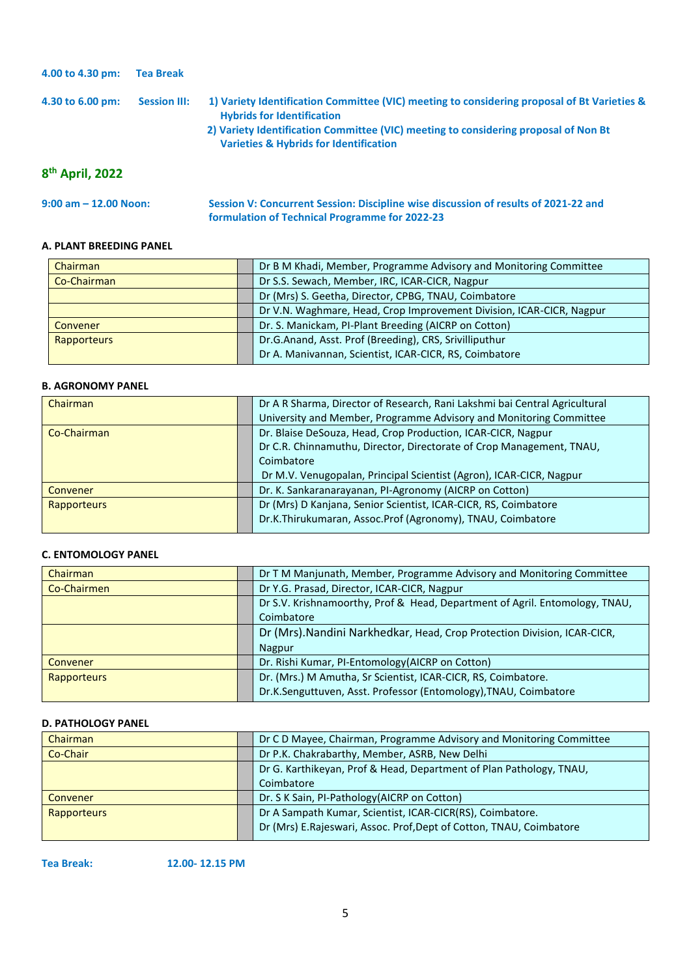| 4.00 to 4.30 pm:            | <b>Tea Break</b>    |                                                                                                                                                                                                                                                                              |
|-----------------------------|---------------------|------------------------------------------------------------------------------------------------------------------------------------------------------------------------------------------------------------------------------------------------------------------------------|
| 4.30 to 6.00 pm:            | <b>Session III:</b> | 1) Variety Identification Committee (VIC) meeting to considering proposal of Bt Varieties &<br><b>Hybrids for Identification</b><br>2) Variety Identification Committee (VIC) meeting to considering proposal of Non Bt<br><b>Varieties &amp; Hybrids for Identification</b> |
| 8 <sup>th</sup> April, 2022 |                     |                                                                                                                                                                                                                                                                              |

| $9:00$ am $-12.00$ Noon: | Session V: Concurrent Session: Discipline wise discussion of results of 2021-22 and |
|--------------------------|-------------------------------------------------------------------------------------|
|                          | formulation of Technical Programme for 2022-23                                      |

# **A. PLANT BREEDING PANEL**

| Chairman        | Dr B M Khadi, Member, Programme Advisory and Monitoring Committee    |
|-----------------|----------------------------------------------------------------------|
| Co-Chairman     | Dr S.S. Sewach, Member, IRC, ICAR-CICR, Nagpur                       |
|                 | Dr (Mrs) S. Geetha, Director, CPBG, TNAU, Coimbatore                 |
|                 | Dr V.N. Waghmare, Head, Crop Improvement Division, ICAR-CICR, Nagpur |
| <b>Convener</b> | Dr. S. Manickam, PI-Plant Breeding (AICRP on Cotton)                 |
| Rapporteurs     | Dr.G.Anand, Asst. Prof (Breeding), CRS, Srivilliputhur               |
|                 | Dr A. Manivannan, Scientist, ICAR-CICR, RS, Coimbatore               |

# **B. AGRONOMY PANEL**

| Chairman           | Dr A R Sharma, Director of Research, Rani Lakshmi bai Central Agricultural |
|--------------------|----------------------------------------------------------------------------|
|                    | University and Member, Programme Advisory and Monitoring Committee         |
| Co-Chairman        | Dr. Blaise DeSouza, Head, Crop Production, ICAR-CICR, Nagpur               |
|                    | Dr C.R. Chinnamuthu, Director, Directorate of Crop Management, TNAU,       |
|                    | Coimbatore                                                                 |
|                    | Dr M.V. Venugopalan, Principal Scientist (Agron), ICAR-CICR, Nagpur        |
| Convener           | Dr. K. Sankaranarayanan, PI-Agronomy (AICRP on Cotton)                     |
| <b>Rapporteurs</b> | Dr (Mrs) D Kanjana, Senior Scientist, ICAR-CICR, RS, Coimbatore            |
|                    | Dr.K.Thirukumaran, Assoc.Prof (Agronomy), TNAU, Coimbatore                 |

# **C. ENTOMOLOGY PANEL**

| Chairman           | Dr T M Manjunath, Member, Programme Advisory and Monitoring Committee       |
|--------------------|-----------------------------------------------------------------------------|
| Co-Chairmen        | Dr Y.G. Prasad, Director, ICAR-CICR, Nagpur                                 |
|                    | Dr S.V. Krishnamoorthy, Prof & Head, Department of Agril. Entomology, TNAU, |
|                    | Coimbatore                                                                  |
|                    | Dr (Mrs). Nandini Narkhedkar, Head, Crop Protection Division, ICAR-CICR,    |
|                    | <b>Nagpur</b>                                                               |
| Convener           | Dr. Rishi Kumar, PI-Entomology(AICRP on Cotton)                             |
| <b>Rapporteurs</b> | Dr. (Mrs.) M Amutha, Sr Scientist, ICAR-CICR, RS, Coimbatore.               |
|                    | Dr.K.Senguttuven, Asst. Professor (Entomology), TNAU, Coimbatore            |

# **D. PATHOLOGY PANEL**

| <b>Chairman</b>    | Dr C D Mayee, Chairman, Programme Advisory and Monitoring Committee |
|--------------------|---------------------------------------------------------------------|
| Co-Chair           | Dr P.K. Chakrabarthy, Member, ASRB, New Delhi                       |
|                    | Dr G. Karthikeyan, Prof & Head, Department of Plan Pathology, TNAU, |
|                    | Coimbatore                                                          |
| Convener           | Dr. S K Sain, PI-Pathology (AICRP on Cotton)                        |
| <b>Rapporteurs</b> | Dr A Sampath Kumar, Scientist, ICAR-CICR(RS), Coimbatore.           |
|                    | Dr (Mrs) E.Rajeswari, Assoc. Prof, Dept of Cotton, TNAU, Coimbatore |

**Tea Break: 12.00- 12.15 PM**